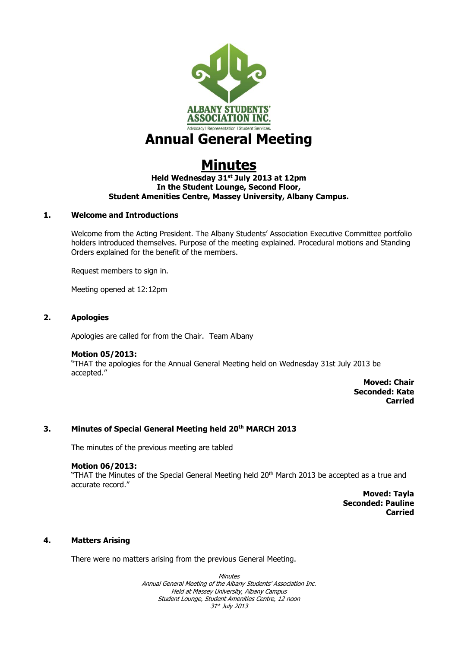

# **Annual General Meeting**

# **Minutes**

## **Held Wednesday 31st July 2013 at 12pm In the Student Lounge, Second Floor, Student Amenities Centre, Massey University, Albany Campus.**

## **1. Welcome and Introductions**

Welcome from the Acting President. The Albany Students' Association Executive Committee portfolio holders introduced themselves. Purpose of the meeting explained. Procedural motions and Standing Orders explained for the benefit of the members.

Request members to sign in.

Meeting opened at 12:12pm

## **2. Apologies**

Apologies are called for from the Chair. Team Albany

## **Motion 05/2013:**

"THAT the apologies for the Annual General Meeting held on Wednesday 31st July 2013 be accepted."

**Moved: Chair Seconded: Kate Carried**

## **3. Minutes of Special General Meeting held 20th MARCH 2013**

The minutes of the previous meeting are tabled

## **Motion 06/2013:**

"THAT the Minutes of the Special General Meeting held 20<sup>th</sup> March 2013 be accepted as a true and accurate record."

> **Moved: Tayla Seconded: Pauline Carried**

## **4. Matters Arising**

There were no matters arising from the previous General Meeting.

**Minutes** Annual General Meeting of the Albany Students' Association Inc. Held at Massey University, Albany Campus Student Lounge, Student Amenities Centre, 12 noon 31st July 2013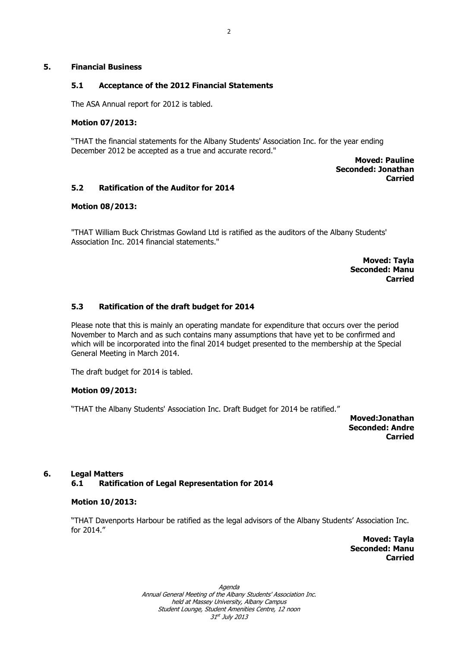## **5. Financial Business**

## **5.1 Acceptance of the 2012 Financial Statements**

The ASA Annual report for 2012 is tabled.

## **Motion 07/2013:**

"THAT the financial statements for the Albany Students' Association Inc. for the year ending December 2012 be accepted as a true and accurate record."

> **Moved: Pauline Seconded: Jonathan Carried**

## **5.2 Ratification of the Auditor for 2014**

## **Motion 08/2013:**

"THAT William Buck Christmas Gowland Ltd is ratified as the auditors of the Albany Students' Association Inc. 2014 financial statements."

> **Moved: Tayla Seconded: Manu Carried**

## **5.3 Ratification of the draft budget for 2014**

Please note that this is mainly an operating mandate for expenditure that occurs over the period November to March and as such contains many assumptions that have yet to be confirmed and which will be incorporated into the final 2014 budget presented to the membership at the Special General Meeting in March 2014.

The draft budget for 2014 is tabled.

## **Motion 09/2013:**

"THAT the Albany Students' Association Inc. Draft Budget for 2014 be ratified."

**Moved:Jonathan Seconded: Andre Carried**

## **6. Legal Matters**

**6.1 Ratification of Legal Representation for 2014**

#### **Motion 10/2013:**

"THAT Davenports Harbour be ratified as the legal advisors of the Albany Students' Association Inc. for 2014."

> **Moved: Tayla Seconded: Manu Carried**

Agenda Annual General Meeting of the Albany Students' Association Inc. held at Massey University, Albany Campus Student Lounge, Student Amenities Centre, 12 noon 31st July 2013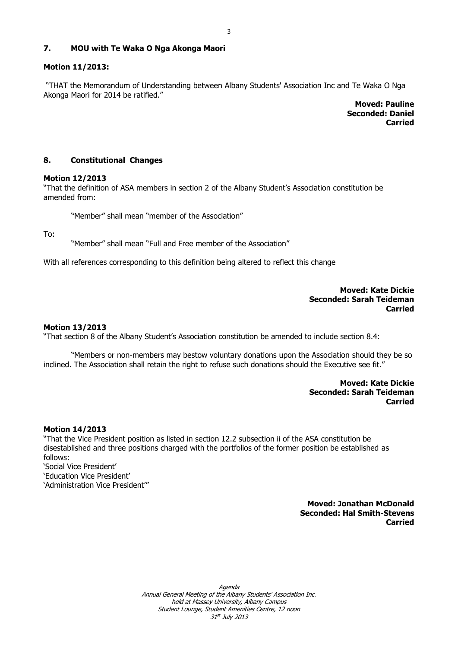## **7. MOU with Te Waka O Nga Akonga Maori**

#### **Motion 11/2013:**

"THAT the Memorandum of Understanding between Albany Students' Association Inc and Te Waka O Nga Akonga Maori for 2014 be ratified."

> **Moved: Pauline Seconded: Daniel Carried**

#### **8. Constitutional Changes**

#### **Motion 12/2013**

"That the definition of ASA members in section 2 of the Albany Student's Association constitution be amended from:

"Member" shall mean "member of the Association"

To:

"Member" shall mean "Full and Free member of the Association"

With all references corresponding to this definition being altered to reflect this change

## **Moved: Kate Dickie Seconded: Sarah Teideman Carried**

#### **Motion 13/2013**

"That section 8 of the Albany Student's Association constitution be amended to include section 8.4:

"Members or non-members may bestow voluntary donations upon the Association should they be so inclined. The Association shall retain the right to refuse such donations should the Executive see fit."

> **Moved: Kate Dickie Seconded: Sarah Teideman Carried**

#### **Motion 14/2013**

"That the Vice President position as listed in section 12.2 subsection ii of the ASA constitution be disestablished and three positions charged with the portfolios of the former position be established as follows:

'Social Vice President' 'Education Vice President' 'Administration Vice President'"

> **Moved: Jonathan McDonald Seconded: Hal Smith-Stevens Carried**

Agenda Annual General Meeting of the Albany Students' Association Inc. held at Massey University, Albany Campus Student Lounge, Student Amenities Centre, 12 noon 31st July 2013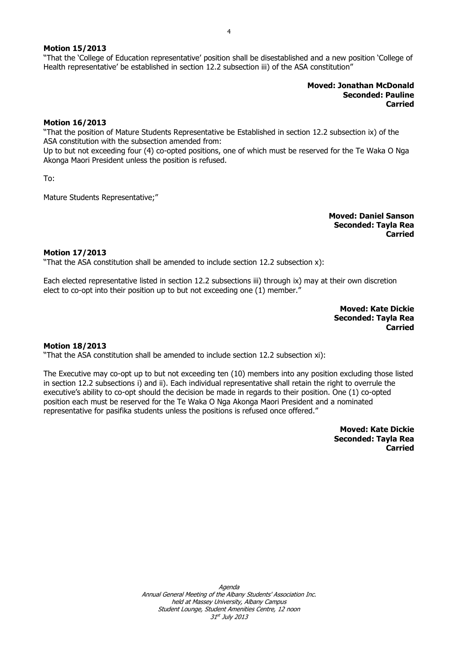4

## **Motion 15/2013**

"That the 'College of Education representative' position shall be disestablished and a new position 'College of Health representative' be established in section 12.2 subsection iii) of the ASA constitution"

> **Moved: Jonathan McDonald Seconded: Pauline Carried**

#### **Motion 16/2013**

"That the position of Mature Students Representative be Established in section 12.2 subsection ix) of the ASA constitution with the subsection amended from:

Up to but not exceeding four (4) co-opted positions, one of which must be reserved for the Te Waka O Nga Akonga Maori President unless the position is refused.

To:

Mature Students Representative;"

**Moved: Daniel Sanson Seconded: Tayla Rea Carried**

#### **Motion 17/2013**

"That the ASA constitution shall be amended to include section 12.2 subsection x):

Each elected representative listed in section 12.2 subsections iii) through ix) may at their own discretion elect to co-opt into their position up to but not exceeding one (1) member."

> **Moved: Kate Dickie Seconded: Tayla Rea Carried**

#### **Motion 18/2013**

"That the ASA constitution shall be amended to include section 12.2 subsection xi):

The Executive may co-opt up to but not exceeding ten (10) members into any position excluding those listed in section 12.2 subsections i) and ii). Each individual representative shall retain the right to overrule the executive's ability to co-opt should the decision be made in regards to their position. One (1) co-opted position each must be reserved for the Te Waka O Nga Akonga Maori President and a nominated representative for pasifika students unless the positions is refused once offered."

> **Moved: Kate Dickie Seconded: Tayla Rea Carried**

Agenda Annual General Meeting of the Albany Students' Association Inc. held at Massey University, Albany Campus Student Lounge, Student Amenities Centre, 12 noon 31st July 2013